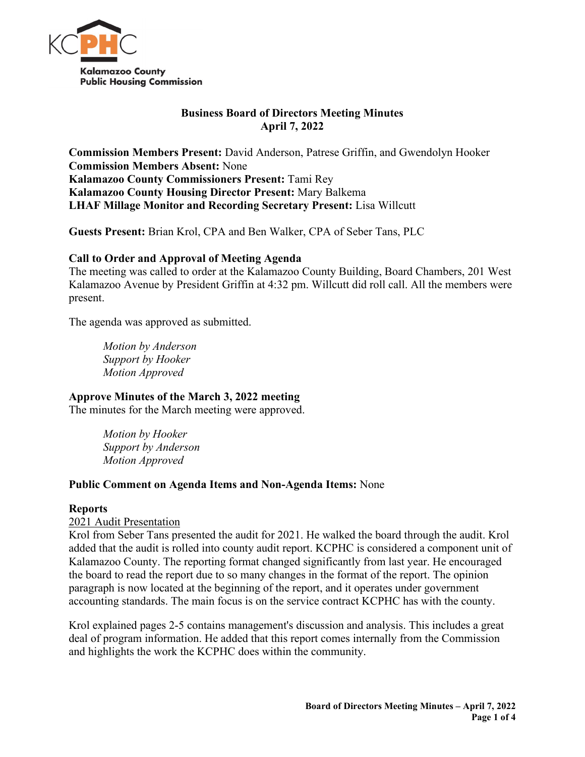

# **Business Board of Directors Meeting Minutes April 7, 2022**

**Commission Members Present:** David Anderson, Patrese Griffin, and Gwendolyn Hooker **Commission Members Absent:** None **Kalamazoo County Commissioners Present:** Tami Rey **Kalamazoo County Housing Director Present:** Mary Balkema **LHAF Millage Monitor and Recording Secretary Present:** Lisa Willcutt

**Guests Present:** Brian Krol, CPA and Ben Walker, CPA of Seber Tans, PLC

# **Call to Order and Approval of Meeting Agenda**

The meeting was called to order at the Kalamazoo County Building, Board Chambers, 201 West Kalamazoo Avenue by President Griffin at 4:32 pm. Willcutt did roll call. All the members were present.

The agenda was approved as submitted.

*Motion by Anderson Support by Hooker Motion Approved* 

# **Approve Minutes of the March 3, 2022 meeting**

The minutes for the March meeting were approved.

*Motion by Hooker Support by Anderson Motion Approved*

### **Public Comment on Agenda Items and Non-Agenda Items:** None

### **Reports**

### 2021 Audit Presentation

Krol from Seber Tans presented the audit for 2021. He walked the board through the audit. Krol added that the audit is rolled into county audit report. KCPHC is considered a component unit of Kalamazoo County. The reporting format changed significantly from last year. He encouraged the board to read the report due to so many changes in the format of the report. The opinion paragraph is now located at the beginning of the report, and it operates under government accounting standards. The main focus is on the service contract KCPHC has with the county.

Krol explained pages 2-5 contains management's discussion and analysis. This includes a great deal of program information. He added that this report comes internally from the Commission and highlights the work the KCPHC does within the community.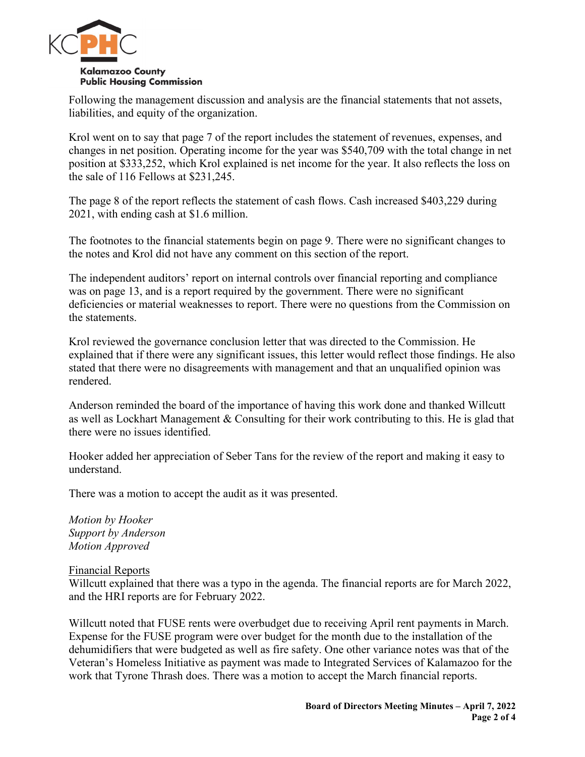

Following the management discussion and analysis are the financial statements that not assets, liabilities, and equity of the organization.

Krol went on to say that page 7 of the report includes the statement of revenues, expenses, and changes in net position. Operating income for the year was \$540,709 with the total change in net position at \$333,252, which Krol explained is net income for the year. It also reflects the loss on the sale of 116 Fellows at \$231,245.

The page 8 of the report reflects the statement of cash flows. Cash increased \$403,229 during 2021, with ending cash at \$1.6 million.

The footnotes to the financial statements begin on page 9. There were no significant changes to the notes and Krol did not have any comment on this section of the report.

The independent auditors' report on internal controls over financial reporting and compliance was on page 13, and is a report required by the government. There were no significant deficiencies or material weaknesses to report. There were no questions from the Commission on the statements.

Krol reviewed the governance conclusion letter that was directed to the Commission. He explained that if there were any significant issues, this letter would reflect those findings. He also stated that there were no disagreements with management and that an unqualified opinion was rendered.

Anderson reminded the board of the importance of having this work done and thanked Willcutt as well as Lockhart Management & Consulting for their work contributing to this. He is glad that there were no issues identified.

Hooker added her appreciation of Seber Tans for the review of the report and making it easy to understand.

There was a motion to accept the audit as it was presented.

*Motion by Hooker Support by Anderson Motion Approved*

Financial Reports

Willcutt explained that there was a typo in the agenda. The financial reports are for March 2022, and the HRI reports are for February 2022.

Willcutt noted that FUSE rents were overbudget due to receiving April rent payments in March. Expense for the FUSE program were over budget for the month due to the installation of the dehumidifiers that were budgeted as well as fire safety. One other variance notes was that of the Veteran's Homeless Initiative as payment was made to Integrated Services of Kalamazoo for the work that Tyrone Thrash does. There was a motion to accept the March financial reports.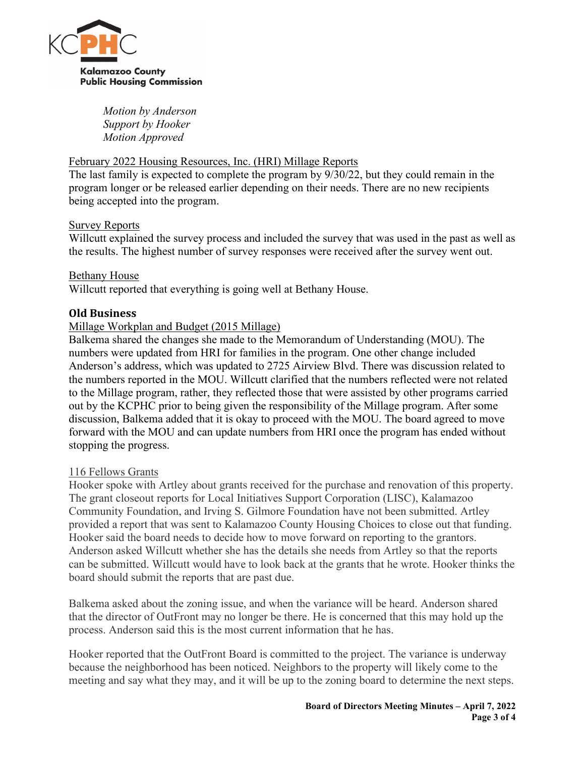

*Motion by Anderson Support by Hooker Motion Approved*

## February 2022 Housing Resources, Inc. (HRI) Millage Reports

The last family is expected to complete the program by 9/30/22, but they could remain in the program longer or be released earlier depending on their needs. There are no new recipients being accepted into the program.

### Survey Reports

Willcutt explained the survey process and included the survey that was used in the past as well as the results. The highest number of survey responses were received after the survey went out.

### Bethany House

Willcutt reported that everything is going well at Bethany House.

## **Old Business**

# Millage Workplan and Budget (2015 Millage)

Balkema shared the changes she made to the Memorandum of Understanding (MOU). The numbers were updated from HRI for families in the program. One other change included Anderson's address, which was updated to 2725 Airview Blvd. There was discussion related to the numbers reported in the MOU. Willcutt clarified that the numbers reflected were not related to the Millage program, rather, they reflected those that were assisted by other programs carried out by the KCPHC prior to being given the responsibility of the Millage program. After some discussion, Balkema added that it is okay to proceed with the MOU. The board agreed to move forward with the MOU and can update numbers from HRI once the program has ended without stopping the progress.

### 116 Fellows Grants

Hooker spoke with Artley about grants received for the purchase and renovation of this property. The grant closeout reports for Local Initiatives Support Corporation (LISC), Kalamazoo Community Foundation, and Irving S. Gilmore Foundation have not been submitted. Artley provided a report that was sent to Kalamazoo County Housing Choices to close out that funding. Hooker said the board needs to decide how to move forward on reporting to the grantors. Anderson asked Willcutt whether she has the details she needs from Artley so that the reports can be submitted. Willcutt would have to look back at the grants that he wrote. Hooker thinks the board should submit the reports that are past due.

Balkema asked about the zoning issue, and when the variance will be heard. Anderson shared that the director of OutFront may no longer be there. He is concerned that this may hold up the process. Anderson said this is the most current information that he has.

Hooker reported that the OutFront Board is committed to the project. The variance is underway because the neighborhood has been noticed. Neighbors to the property will likely come to the meeting and say what they may, and it will be up to the zoning board to determine the next steps.